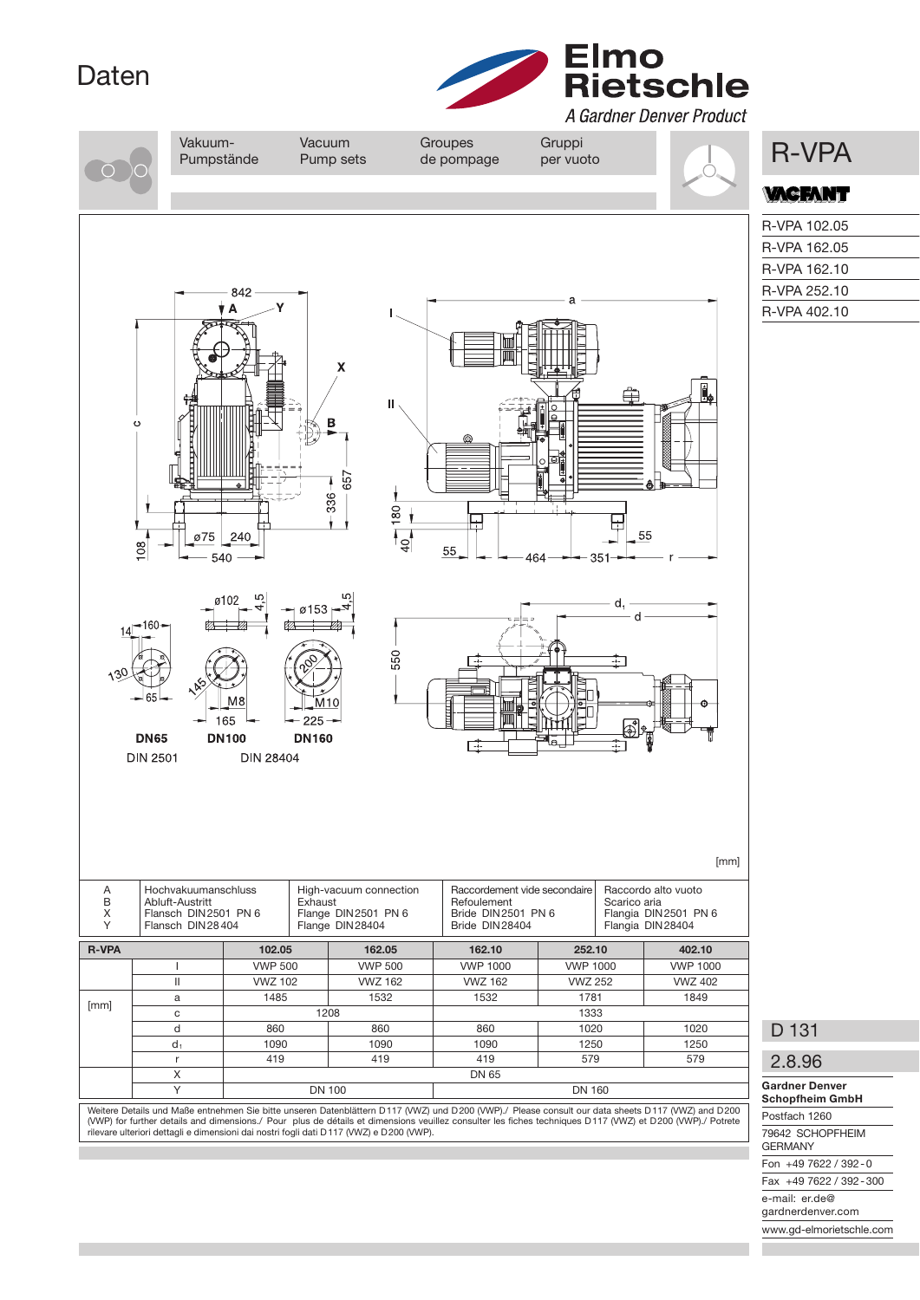## Daten



A Gardner Denver Product Vakuum- Vacuum Groupes Gruppi<br>Pumpstände Pump sets de pompage per vuoto **R-VPA** Pumpstände Pump sets de pompage per vuoto **ACFANT** R-VPA 102.05 R-VPA 162.05 R-VPA 162.10 R-VPA 252.10 842  $\overline{\mathbf{A}}$ R-VPA 402.10 Y  $\mathbf{u}$ B 657 336  $\overline{80}$  $\frac{1}{2}$ ₩  $\overline{\mathsf{P}_{\mathsf{Q}}}$ 55 75 œ  $5!$ 540  $\alpha$ <sup>-</sup> d. ø153 -160 550 165 225 **DN65 DN100 DN160** F **DIN 2501 DIN 28404** [mm] A Hochvakuumanschluss High-vacuum connection Raccordement vide secondaire Raccordo alto vuoto<br>B Abluft-Austritt Exhaust Exhaust Refoulement Scarico aria B Abluft-Austritt Exhaust Exhaust Refoulement Scarico aria<br>
X Flansch DIN 2501 PN 6 Flange DIN 2501 PN 6 Flangia DIN 2501 PN 6 Flangia DIN 2501 PN 6 Flangia DIN 28404 Flangia DIN 28404 Flansch DIN 2501 PN 6 Flange DIN 2501 PN 6 Flange DIN 2501 PN 6 Flange DIN 2501 PN 6 Flange DIN 25404 PN 6 Flange DIN 25404 PN 6 Flange DIN 25404 PN 6 Flange DIN 25404 PN 6 Flange DIN 25404 PN 6 Flange DIN 25404 PLANE Flange DIN 28404 R-VPA 102.05 162.05 162.10 252.10 402.10 I VWP 500 VWP 500 VWP 1000 VWP 1000 VWP 1000 II VWZ 102 VWZ 162 VWZ 162 VWZ 252 VWZ 402 [mm] a 1485 1532 1532 1781 1849<br>[mm] a 1999 1999 1999 1999 1999 1999 c | 1208 1333 D 131 d | 860 | 860 | 860 | 1020 | 1020  $\mathsf{d}_1$  | 1090 | 1090 | 1090 | 1250 | 1250 r 419 419 419 579 579 2.8.96  $X$  DN 65 Gardner Denver Y DN 100 DN 100 DN 160 Schopfheim GmbH Weitere Details und Maße entnehmen Sie bitte unseren Datenblättern D 117 (VWZ) und D 200 (VWP)./ Please consult our data sheets D 117 (VWZ) and D 200 Postfach 1260 (VWP) for further details and dimensions./ Pour plus de détails et dimensions veuillez consulter les fiches techniques D117 (VWZ) et D200 (VWP)./ Potrete<br>rilevare ulteriori dettagli e dimensioni dai nostri fogli dati D117 79642 SCHOPFHEIM GERMANY

Fon +49 7622 / 392 - 0 Fax +49 7622 / 392 - 300

e-mail: er.de@

gardnerdenver.com

www.gd-elmorietschle.com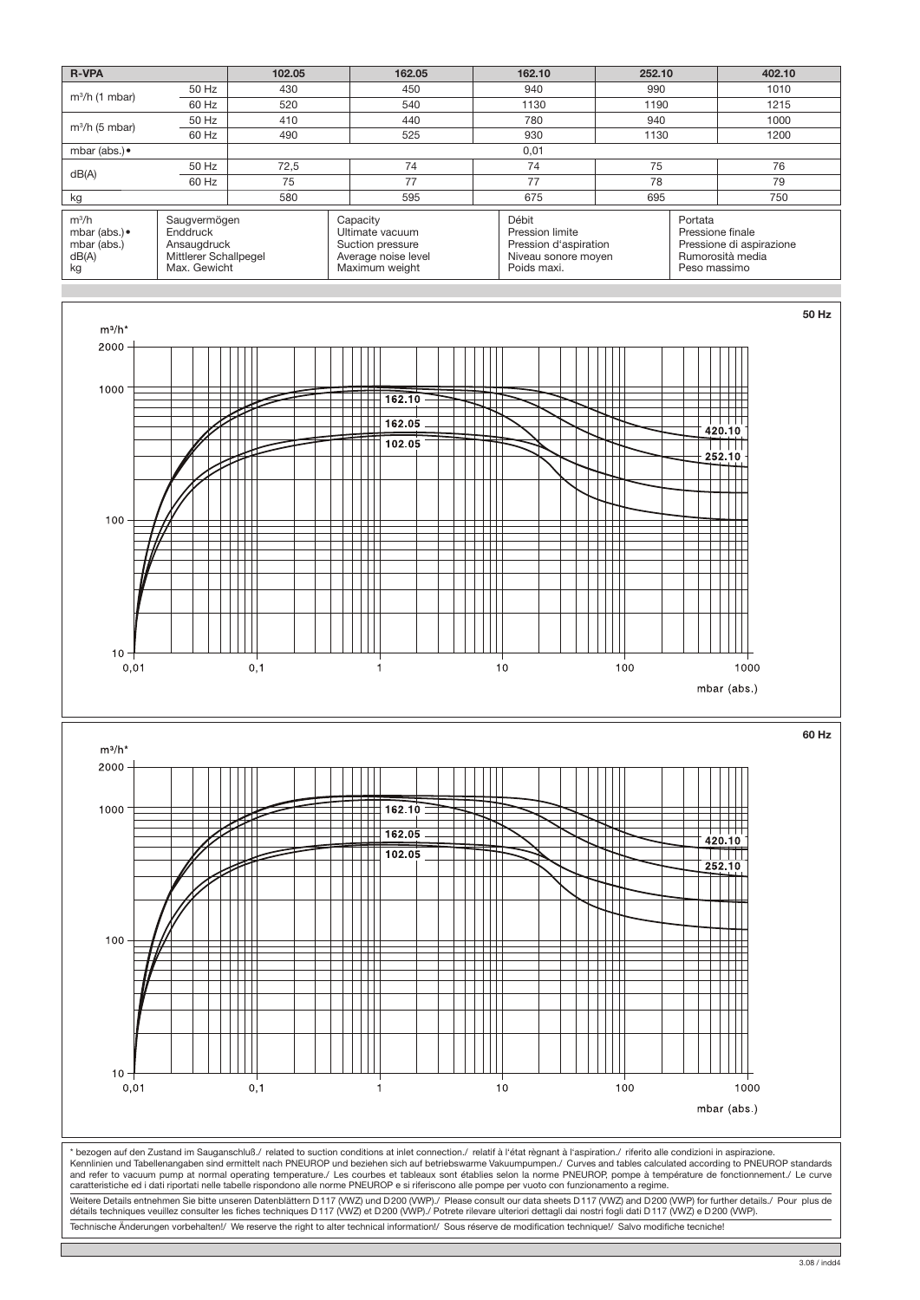

3.08 / indd4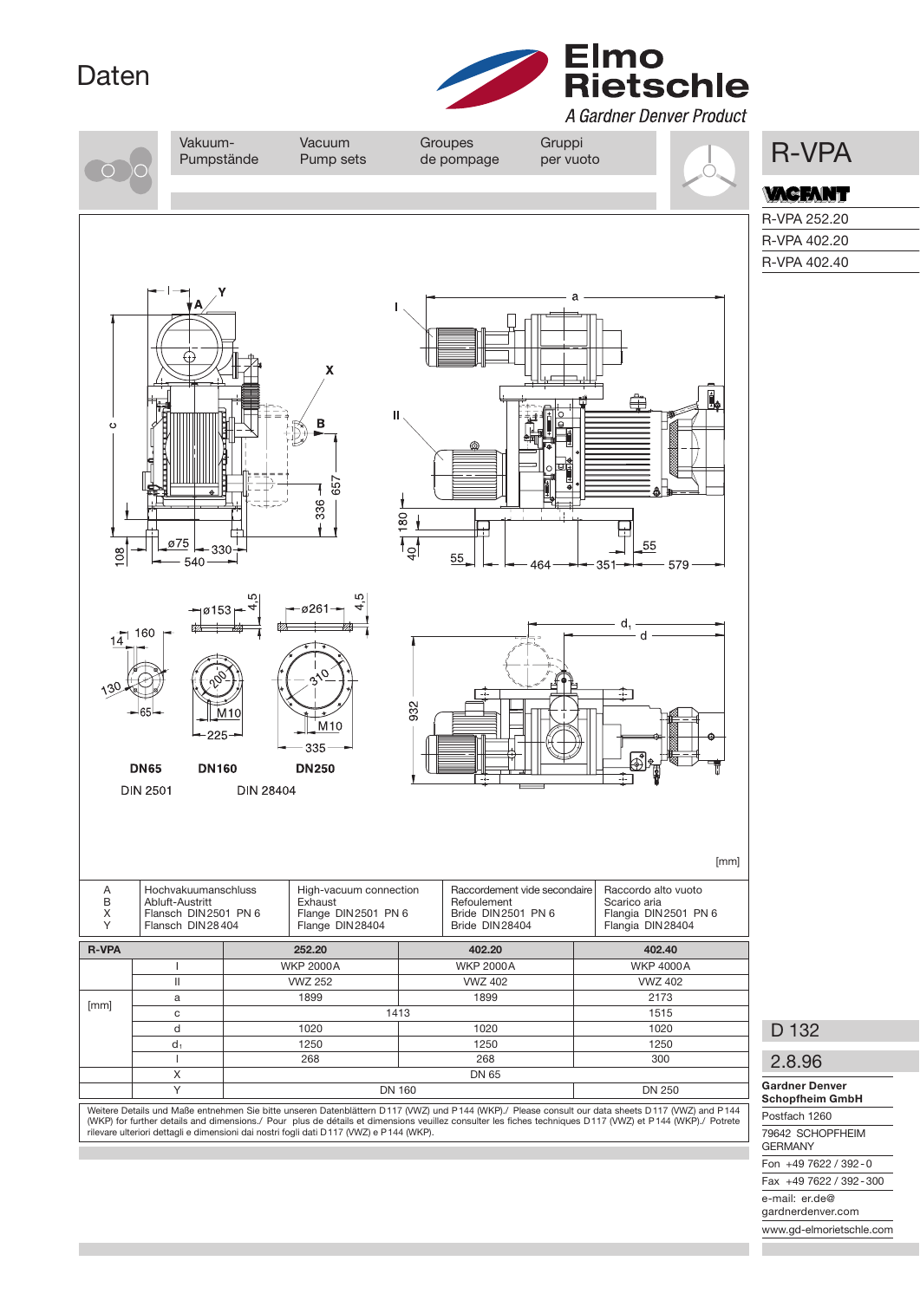## Daten



A Gardner Denver Product

e-mail: er.de@ gardnerdenver.com www.gd-elmorietschle.com